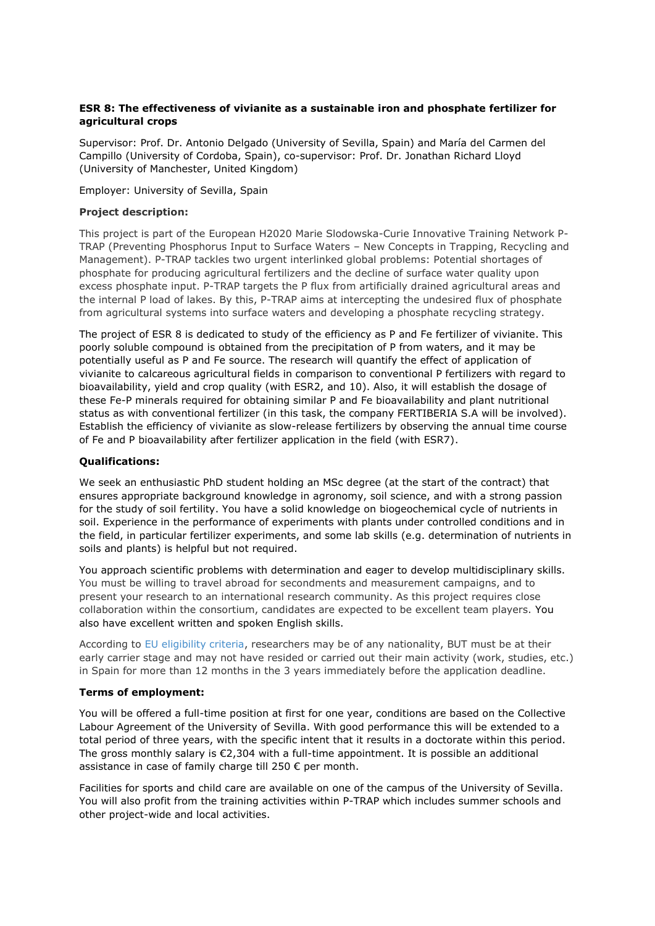# **ESR 8: The effectiveness of vivianite as a sustainable iron and phosphate fertilizer for agricultural crops**

Supervisor: Prof. Dr. Antonio Delgado (University of Sevilla, Spain) and María del Carmen del Campillo (University of Cordoba, Spain), co-supervisor: Prof. Dr. Jonathan Richard Lloyd (University of Manchester, United Kingdom)

Employer: University of Sevilla, Spain

## **Project description:**

This project is part of the European H2020 Marie Slodowska-Curie Innovative Training Network P-TRAP (Preventing Phosphorus Input to Surface Waters – New Concepts in Trapping, Recycling and Management). P-TRAP tackles two urgent interlinked global problems: Potential shortages of phosphate for producing agricultural fertilizers and the decline of surface water quality upon excess phosphate input. P-TRAP targets the P flux from artificially drained agricultural areas and the internal P load of lakes. By this, P-TRAP aims at intercepting the undesired flux of phosphate from agricultural systems into surface waters and developing a phosphate recycling strategy.

The project of ESR 8 is dedicated to study of the efficiency as P and Fe fertilizer of vivianite. This poorly soluble compound is obtained from the precipitation of P from waters, and it may be potentially useful as P and Fe source. The research will quantify the effect of application of vivianite to calcareous agricultural fields in comparison to conventional P fertilizers with regard to bioavailability, yield and crop quality (with ESR2, and 10). Also, it will establish the dosage of these Fe-P minerals required for obtaining similar P and Fe bioavailability and plant nutritional status as with conventional fertilizer (in this task, the company FERTIBERIA S.A will be involved). Establish the efficiency of vivianite as slow-release fertilizers by observing the annual time course of Fe and P bioavailability after fertilizer application in the field (with ESR7).

# **Qualifications:**

We seek an enthusiastic PhD student holding an MSc degree (at the start of the contract) that ensures appropriate background knowledge in agronomy, soil science, and with a strong passion for the study of soil fertility. You have a solid knowledge on biogeochemical cycle of nutrients in soil. Experience in the performance of experiments with plants under controlled conditions and in the field, in particular fertilizer experiments, and some lab skills (e.g. determination of nutrients in soils and plants) is helpful but not required.

You approach scientific problems with determination and eager to develop multidisciplinary skills. You must be willing to travel abroad for secondments and measurement campaigns, and to present your research to an international research community. As this project requires close collaboration within the consortium, candidates are expected to be excellent team players. You also have excellent written and spoken English skills.

According to [EU eligibility criteria,](https://memo2.sites.uu.nl/wp-content/uploads/sites/198/2017/01/MEMO2-Eligibility-criteria-for-the-recruited-researchers-in-an-MSC-ITN.pdf) researchers may be of any nationality, BUT must be at their early carrier stage and may not have resided or carried out their main activity (work, studies, etc.) in Spain for more than 12 months in the 3 years immediately before the application deadline.

### **Terms of employment:**

You will be offered a full-time position at first for one year, conditions are based on the Collective Labour Agreement of the University of Sevilla. With good performance this will be extended to a total period of three years, with the specific intent that it results in a doctorate within this period. The gross monthly salary is  $\epsilon$ 2,304 with a full-time appointment. It is possible an additional assistance in case of family charge till 250 € per month.

Facilities for sports and child care are available on one of the campus of the University of Sevilla. You will also profit from the training activities within P-TRAP which includes summer schools and other project-wide and local activities.